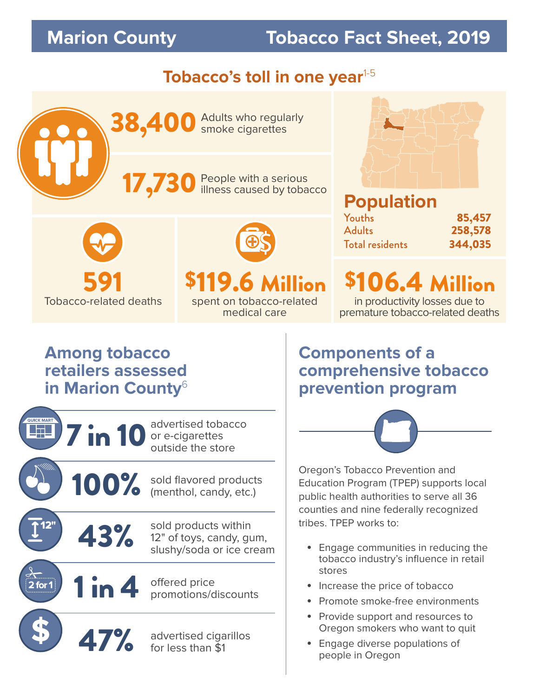# **Marion County Tobacco Fact Sheet, 2019**

## **Tobacco's toll in one year**<sup>1-5</sup>





# Tobacco-related deaths spent on tobacco-related



medical care

#### **Population**  Youths 85,457 **258,578** Total residents 344,035

591 \$119.6 Million \$106.4 Million in productivity losses due to

premature tobacco-related deaths

### **Among tobacco retailers assessed in Marion County**<sup>6</sup>



**Components of a comprehensive tobacco prevention program**



Oregon's Tobacco Prevention and Education Program (TPEP) supports local public health authorities to serve all 36 counties and nine federally recognized tribes. TPEP works to:

- Engage communities in reducing the tobacco industry's influence in retail stores
- Increase the price of tobacco
- Promote smoke-free environments
- Provide support and resources to Oregon smokers who want to quit
- Engage diverse populations of people in Oregon